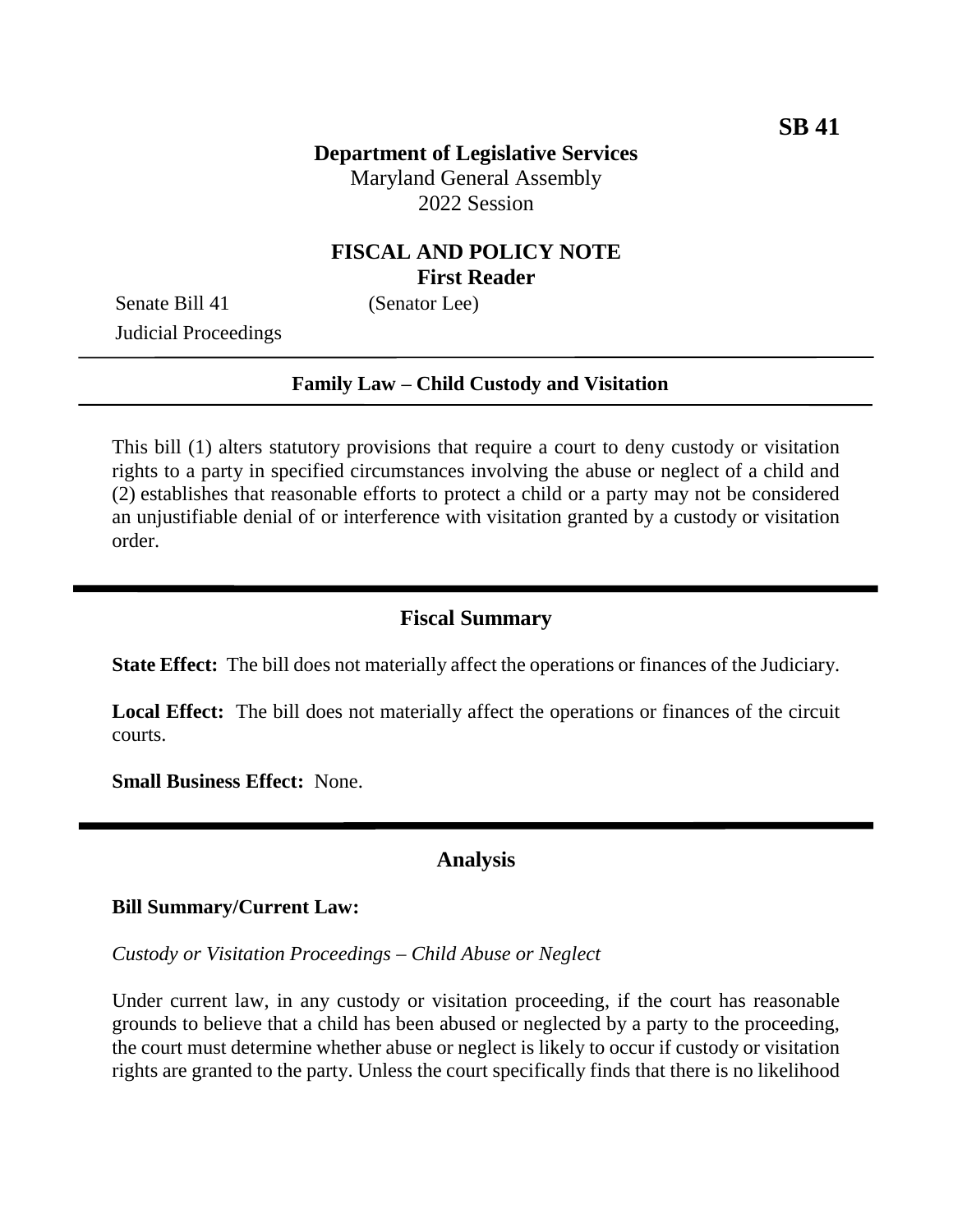# **FISCAL AND POLICY NOTE First Reader**

Senate Bill 41 (Senator Lee) Judicial Proceedings

#### **Family Law – Child Custody and Visitation**

This bill (1) alters statutory provisions that require a court to deny custody or visitation rights to a party in specified circumstances involving the abuse or neglect of a child and (2) establishes that reasonable efforts to protect a child or a party may not be considered an unjustifiable denial of or interference with visitation granted by a custody or visitation order.

### **Fiscal Summary**

**State Effect:** The bill does not materially affect the operations or finances of the Judiciary.

**Local Effect:** The bill does not materially affect the operations or finances of the circuit courts.

**Small Business Effect:** None.

#### **Analysis**

#### **Bill Summary/Current Law:**

*Custody or Visitation Proceedings – Child Abuse or Neglect*

Under current law, in any custody or visitation proceeding, if the court has reasonable grounds to believe that a child has been abused or neglected by a party to the proceeding, the court must determine whether abuse or neglect is likely to occur if custody or visitation rights are granted to the party. Unless the court specifically finds that there is no likelihood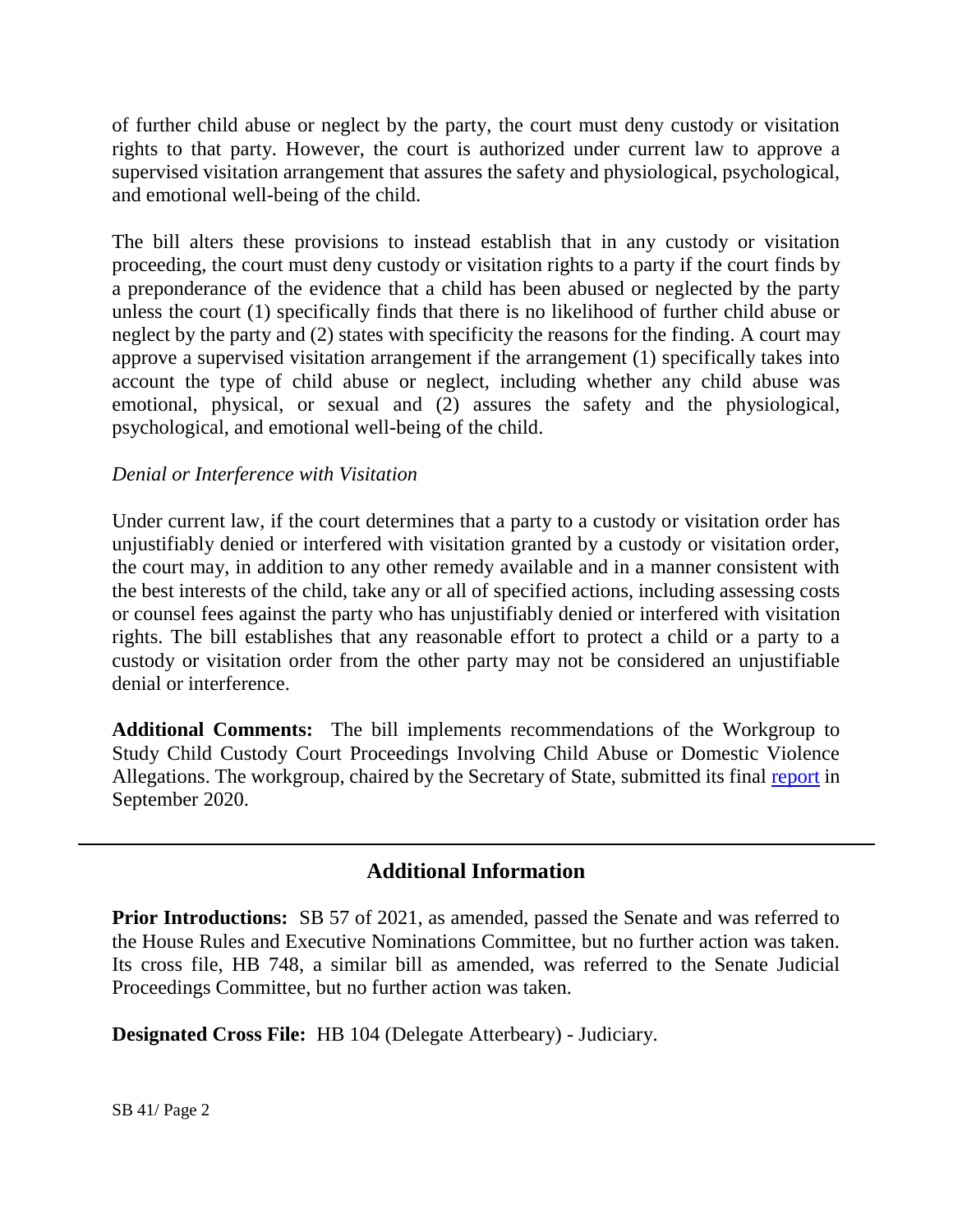of further child abuse or neglect by the party, the court must deny custody or visitation rights to that party. However, the court is authorized under current law to approve a supervised visitation arrangement that assures the safety and physiological, psychological, and emotional well-being of the child.

The bill alters these provisions to instead establish that in any custody or visitation proceeding, the court must deny custody or visitation rights to a party if the court finds by a preponderance of the evidence that a child has been abused or neglected by the party unless the court (1) specifically finds that there is no likelihood of further child abuse or neglect by the party and (2) states with specificity the reasons for the finding. A court may approve a supervised visitation arrangement if the arrangement (1) specifically takes into account the type of child abuse or neglect, including whether any child abuse was emotional, physical, or sexual and (2) assures the safety and the physiological, psychological, and emotional well-being of the child.

### *Denial or Interference with Visitation*

Under current law, if the court determines that a party to a custody or visitation order has unjustifiably denied or interfered with visitation granted by a custody or visitation order, the court may, in addition to any other remedy available and in a manner consistent with the best interests of the child, take any or all of specified actions, including assessing costs or counsel fees against the party who has unjustifiably denied or interfered with visitation rights. The bill establishes that any reasonable effort to protect a child or a party to a custody or visitation order from the other party may not be considered an unjustifiable denial or interference.

**Additional Comments:** The bill implements recommendations of the Workgroup to Study Child Custody Court Proceedings Involving Child Abuse or Domestic Violence Allegations. The workgroup, chaired by the Secretary of State, submitted its final [report](http://dlslibrary.state.md.us/publications/DLS/TF/SB567Ch52(2019)_2020.pdf) in September 2020.

## **Additional Information**

**Prior Introductions:** SB 57 of 2021, as amended, passed the Senate and was referred to the House Rules and Executive Nominations Committee, but no further action was taken. Its cross file, HB 748, a similar bill as amended, was referred to the Senate Judicial Proceedings Committee, but no further action was taken.

**Designated Cross File:** HB 104 (Delegate Atterbeary) - Judiciary.